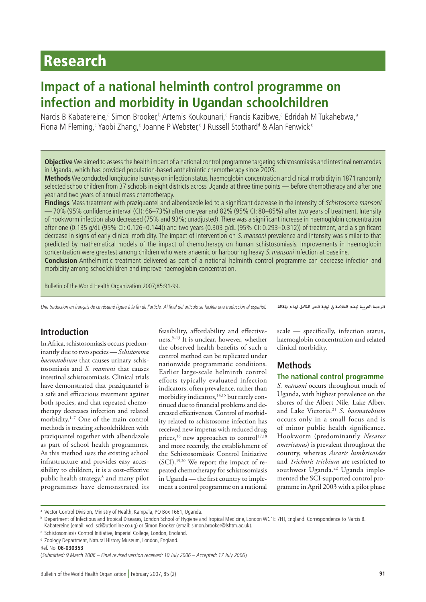# Research

# **Impact of a national helminth control programme on infection and morbidity in Ugandan schoolchildren**

Narcis B Kabatereine,<sup>a</sup> Simon Brooker,<sup>b</sup> Artemis Koukounari,<sup>c</sup> Francis Kazibwe,<sup>a</sup> Edridah M Tukahebwa,<sup>a</sup> Fiona M Fleming,< Yaobi Zhang,< Joanne P Webster,< J Russell Stothard<sup>d</sup> & Alan Fenwick<sup><</sup>

**Objective** We aimed to assess the health impact of a national control programme targeting schistosomiasis and intestinal nematodes in Uganda, which has provided population-based anthelmintic chemotherapy since 2003.

**Methods** We conducted longitudinal surveys on infection status, haemoglobin concentration and clinical morbidity in 1871 randomly selected schoolchildren from 37 schools in eight districts across Uganda at three time points — before chemotherapy and after one year and two years of annual mass chemotherapy.

**Findings** Mass treatment with praziquantel and albendazole led to a significant decrease in the intensity of Schistosoma mansoni — 70% (95% confidence interval (CI): 66–73%) after one year and 82% (95% CI: 80–85%) after two years of treatment. Intensity of hookworm infection also decreased (75% and 93%; unadjusted). There was a significant increase in haemoglobin concentration after one (0.135 g/dL (95% CI: 0.126–0.144)) and two years (0.303 g/dL (95% CI: 0.293–0.312)) of treatment, and a significant decrease in signs of early clinical morbidity. The impact of intervention on S. mansoni prevalence and intensity was similar to that predicted by mathematical models of the impact of chemotherapy on human schistosomiasis. Improvements in haemoglobin concentration were greatest among children who were anaemic or harbouring heavy S. mansoni infection at baseline.

**Conclusion** Anthelmintic treatment delivered as part of a national helminth control programme can decrease infection and morbidity among schoolchildren and improve haemoglobin concentration.

Bulletin of the World Health Organization 2007;85:91-99.

Une traduction en français de ce résumé figure à la fin de l'article. Al final del artículo se facilita una traducción al español.

*الرتجمة العربية لهذه الخالصة يف نهاية النص الكامل لهذه املقالة.*

# **Introduction**

In Africa, schistosomiasis occurs predominantly due to two species — *Schistosoma haematobium* that causes urinary schistosomiasis and *S. mansoni* that causes intestinal schistosomiasis. Clinical trials have demonstrated that praziquantel is a safe and efficacious treatment against both species, and that repeated chemotherapy decreases infection and related morbidity.1–7 One of the main control methods is treating schoolchildren with praziquantel together with albendazole as part of school health programmes. As this method uses the existing school infrastructure and provides easy accessibility to children, it is a cost-effective public health strategy,8 and many pilot programmes have demonstrated its

feasibility, affordability and effectiveness.9–13 It is unclear, however, whether the observed health benefits of such a control method can be replicated under nationwide programmatic conditions. Earlier large-scale helminth control efforts typically evaluated infection indicators, often prevalence, rather than morbidity indicators,<sup>14,15</sup> but rarely continued due to financial problems and decreased effectiveness. Control of morbidity related to schistosome infection has received new impetus with reduced drug prices,<sup>16</sup> new approaches to control<sup>17,18</sup> and more recently, the establishment of the Schistosomiasis Control Initiative (SCI).19,20 We report the impact of repeated chemotherapy for schistosomiasis in Uganda — the first country to implement a control programme on a national

scale — specifically, infection status, haemoglobin concentration and related clinical morbidity.

# **Methods**

### **The national control programme**

*S. mansoni* occurs throughout much of Uganda, with highest prevalence on the shores of the Albert Nile, Lake Albert and Lake Victoria.21 *S. haematobium* occurs only in a small focus and is of minor public health significance. Hookworm (predominantly *Necator americanus*) is prevalent throughout the country, whereas *Ascaris lumbricoides* and *Trichuris trichiura* are restricted to southwest Uganda.<sup>22</sup> Uganda implemented the SCI-supported control programme in April 2003 with a pilot phase

<sup>a</sup> Vector Control Division, Ministry of Health, Kampala, PO Box 1661, Uganda.

<sup>b</sup> Department of Infectious and Tropical Diseases, London School of Hygiene and Tropical Medicine, London WC1E 7HT, England. Correspondence to Narcis B. Kabatereine (email: vcd\_sci@utlonline.co.ug) or Simon Brooker (email: simon.brooker@lshtm.ac.uk).

<sup>c</sup> Schistosomiasis Control Initiative, Imperial College, London, England.

d Zoology Department, Natural History Museum, London, England.

Ref. No. **06-030353**

<sup>(</sup>Submitted: 9 March 2006 – Final revised version received: 10 July 2006 – Accepted: 17 July 2006)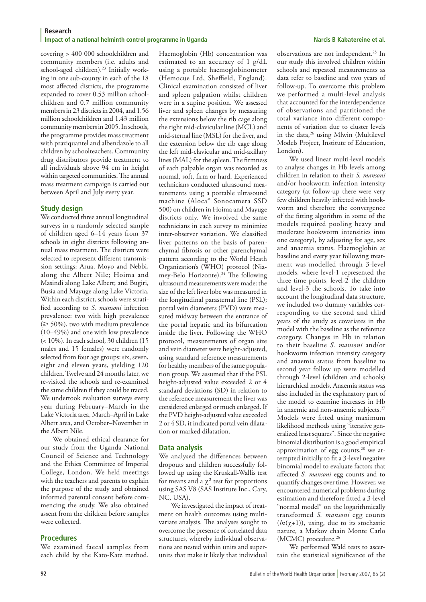covering > 400 000 schoolchildren and community members (i.e. adults and school-aged children).<sup>23</sup> Initially working in one sub-county in each of the 18 most affected districts, the programme expanded to cover 0.53 million schoolchildren and 0.7 million community members in 23 districts in 2004, and 1.56 million schoolchildren and 1.43 million community members in 2005. In schools, the programme provides mass treatment with praziquantel and albendazole to all children by schoolteachers. Community drug distributors provide treatment to all individuals above 94 cm in height within targeted communities. The annual mass treatment campaign is carried out between April and July every year.

### **Study design**

We conducted three annual longitudinal surveys in a randomly selected sample of children aged 6–14 years from 37 schools in eight districts following annual mass treatment. The districts were selected to represent different transmission settings: Arua, Moyo and Nebbi, along the Albert Nile; Hoima and Masindi along Lake Albert; and Bugiri, Busia and Mayuge along Lake Victoria. Within each district, schools were stratified according to *S. mansoni* infection prevalence: two with high prevalence  $(\geq 50\%)$ , two with medium prevalence (10–49%) and one with low prevalence (< 10%). In each school, 30 children (15 males and 15 females) were randomly selected from four age groups: six, seven, eight and eleven years, yielding 120 children. Twelve and 24 months later, we re-visited the schools and re-examined the same children if they could be traced. We undertook evaluation surveys every year during February–March in the Lake Victoria area, March–April in Lake Albert area, and October–November in the Albert Nile.

We obtained ethical clearance for our study from the Uganda National Council of Science and Technology and the Ethics Committee of Imperial College, London. We held meetings with the teachers and parents to explain the purpose of the study and obtained informed parental consent before commencing the study. We also obtained assent from the children before samples were collected.

### **Procedures**

We examined faecal samples from each child by the Kato-Katz method.

Haemoglobin (Hb) concentration was estimated to an accuracy of 1 g/dL using a portable haemoglobinometer (Hemocue Ltd, Sheffield, England). Clinical examination consisted of liver and spleen palpation whilst children were in a supine position. We assessed liver and spleen changes by measuring the extensions below the rib cage along the right mid-clavicular line (MCL) and mid-sternal line (MSL) for the liver, and the extension below the rib cage along the left mid-clavicular and mid-axillary lines (MAL) for the spleen. The firmness of each palpable organ was recorded as normal, soft, firm or hard. Experienced technicians conducted ultrasound measurements using a portable ultrasound machine (Aloca® Sonocamera SSD 500) on children in Hoima and Mayuge districts only. We involved the same technicians in each survey to minimize inter-observer variation. We classified liver patterns on the basis of parenchymal fibrosis or other parenchymal pattern according to the World Heath Organization's (WHO) protocol (Niamey-Belo Horizonte).<sup>24</sup> The following ultrasound measurements were made: the size of the left liver lobe was measured in the longitudinal parasternal line (PSL); portal vein diameters (PVD) were measured midway between the entrance of the portal hepatic and its bifurcation inside the liver. Following the WHO protocol, measurements of organ size and vein diameter were height-adjusted, using standard reference measurements for healthy members of the same population group. We assumed that if the PSL height-adjusted value exceeded 2 or 4 standard deviations (SD) in relation to the reference measurement the liver was considered enlarged or much enlarged. If the PVD height-adjusted value exceeded 2 or 4 SD, it indicated portal vein dilatation or marked dilatation.

### **Data analysis**

We analysed the differences between dropouts and children successfully followed up using the Kruskall-Wallis test for means and a  $\chi^2$  test for proportions using SAS V8 (SAS Institute Inc., Cary, NC, USA).

We investigated the impact of treatment on health outcomes using multivariate analysis. The analyses sought to overcome the presence of correlated data structures, whereby individual observations are nested within units and superunits that make it likely that individual

observations are not independent.25 In our study this involved children within schools and repeated measurements as data refer to baseline and two years of follow-up. To overcome this problem we performed a multi-level analysis that accounted for the interdependence of observations and partitioned the total variance into different components of variation due to cluster levels in the data,<sup>26</sup> using Mlwin (Multilevel Models Project, Institute of Education, London).

We used linear multi-level models to analyse changes in Hb levels among children in relation to their *S. mansoni* and/or hookworm infection intensity category (at follow-up there were very few children heavily infected with hookworm and therefore the convergence of the fitting algorithm in some of the models required pooling heavy and moderate hookworm intensities into one category), by adjusting for age, sex and anaemia status. Haemoglobin at baseline and every year following treatment was modelled through 3-level models, where level-1 represented the three time points, level-2 the children and level- $3$  the schools. To take into account the longitudinal data structure, we included two dummy variables corresponding to the second and third years of the study as covariates in the model with the baseline as the reference category. Changes in Hb in relation to their baseline *S. mansoni* and/or hookworm infection intensity category and anaemia status from baseline to second year follow up were modelled through 2-level (children and schools) hierarchical models. Anaemia status was also included in the explanatory part of the model to examine increases in Hb in anaemic and non-anaemic subjects.<sup>27</sup> Models were fitted using maximum likelihood methods using "iterative generalized least squares". Since the negative binomial distribution is a good empirical approximation of egg counts,<sup>28</sup> we attempted initially to fit a 3-level negative binomial model to evaluate factors that affected *S. mansoni* egg counts and to quantify changes over time. However, we encountered numerical problems during estimation and therefore fitted a 3-level "normal model" on the logarithmically transformed *S. mansoni* egg counts  $(ln( $\chi$ +1))$ , using, due to its stochastic nature, a Markov chain Monte Carlo (MCMC) procedure.<sup>26</sup>

We performed Wald tests to ascertain the statistical significance of the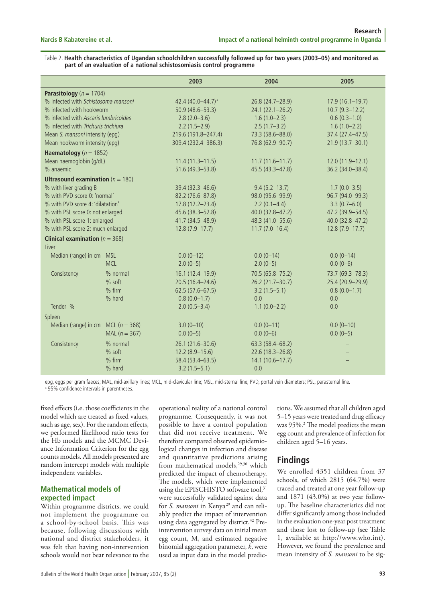Table 2. **Health characteristics of Ugandan schoolchildren successfully followed up for two years (2003–05) and monitored as part of an evaluation of a national schistosomiasis control programme**

|                                             |                   | 2003                     | 2004                | 2005              |
|---------------------------------------------|-------------------|--------------------------|---------------------|-------------------|
| Parasitology ( $n = 1704$ )                 |                   |                          |                     |                   |
| % infected with Schistosoma mansoni         |                   | 42.4 $(40.0 - 44.7)^{a}$ | 26.8 (24.7-28.9)    | $17.9(16.1-19.7)$ |
| % infected with hookworm                    |                   | $50.9(48.6 - 53.3)$      | 24.1 (22.1-26.2)    | $10.7(9.3-12.2)$  |
| % infected with Ascaris lumbricoides        |                   | $2.8(2.0-3.6)$           | $1.6(1.0-2.3)$      | $0.6(0.3-1.0)$    |
| % infected with Trichuris trichiura         |                   | $2.2(1.5-2.9)$           | $2.5(1.7-3.2)$      | $1.6(1.0-2.2)$    |
| Mean S. mansoni intensity (epq)             |                   | 219.6 (191.8-247.4)      | 73.3 (58.6-88.0)    | 37.4 (27.4-47.5)  |
| Mean hookworm intensity (epq)               |                   | 309.4 (232.4-386.3)      | 76.8 (62.9-90.7)    | 21.9 (13.7-30.1)  |
| Haematology ( $n = 1852$ )                  |                   |                          |                     |                   |
| Mean haemoglobin (g/dL)                     |                   | $11.4(11.3-11.5)$        | $11.7(11.6 - 11.7)$ | 12.0 (11.9-12.1)  |
| % anaemic                                   |                   | 51.6 (49.3-53.8)         | 45.5 (43.3-47.8)    | 36.2 (34.0-38.4)  |
| <b>Ultrasound examination</b> ( $n = 180$ ) |                   |                          |                     |                   |
| % with liver grading B                      |                   | 39.4 (32.3-46.6)         | $9.4(5.2 - 13.7)$   | $1.7(0.0 - 3.5)$  |
| % with PVD score 0: 'normal'                |                   | 82.2 (76.6-87.8)         | 98.0 (95.6-99.9)    | 96.7 (94.0-99.3)  |
| % with PVD score 4: 'dilatation'            |                   | $17.8(12.2 - 23.4)$      | $2.2(0.1-4.4)$      | $3.3(0.7-6.0)$    |
| % with PSL score 0: not enlarged            |                   | 45.6 (38.3 - 52.8)       | 40.0 (32.8-47.2)    | 47.2 (39.9-54.5)  |
| % with PSL score 1: enlarged                |                   | 41.7 (34.5–48.9)         | 48.3 (41.0-55.6)    | 40.0 (32.8-47.2)  |
| % with PSL score 2: much enlarged           |                   | $12.8(7.9-17.7)$         | $11.7(7.0-16.4)$    | $12.8(7.9-17.7)$  |
| <b>Clinical examination</b> ( $n = 368$ )   |                   |                          |                     |                   |
| Liver                                       |                   |                          |                     |                   |
| Median (range) in cm                        | <b>MSL</b>        | $0.0(0-12)$              | $0.0(0-14)$         | $0.0(0-14)$       |
|                                             | <b>MCL</b>        | $2.0(0-5)$               | $2.0(0-5)$          | $0.0(0-6)$        |
| Consistency                                 | % normal          | $16.1(12.4-19.9)$        | 70.5 (65.8-75.2)    | 73.7 (69.3-78.3)  |
|                                             | % soft            | $20.5(16.4 - 24.6)$      | 26.2 (21.7-30.7)    | 25.4 (20.9-29.9)  |
|                                             | $%$ firm          | $62.5(57.6 - 67.5)$      | $3.2(1.5-5.1)$      | $0.8(0.0-1.7)$    |
|                                             | % hard            | $0.8(0.0-1.7)$           | 0.0                 | 0.0               |
| Tender %                                    |                   | $2.0(0.5 - 3.4)$         | $1.1(0.0-2.2)$      | 0.0               |
| Spleen                                      |                   |                          |                     |                   |
| Median (range) in cm                        | MCL ( $n = 368$ ) | $3.0(0-10)$              | $0.0(0-11)$         | $0.0(0-10)$       |
|                                             | MAL $(n = 367)$   | $0.0(0-5)$               | $0.0(0-6)$          | $0.0(0-5)$        |
| Consistency                                 | % normal          | 26.1 (21.6-30.6)         | 63.3 (58.4-68.2)    |                   |
|                                             | % soft            | $12.2(8.9-15.6)$         | 22.6 (18.3-26.8)    |                   |
|                                             | % firm            | 58.4 (53.4–63.5)         | 14.1 (10.6-17.7)    |                   |
|                                             | % hard            | $3.2(1.5-5.1)$           | 0.0                 |                   |

epg, eggs per gram faeces; MAL, mid-axillary lines; MCL, mid-clavicular line; MSL, mid-sternal line; PVD, portal vein diameters; PSL, parasternal line. a 95% confidence intervals in parentheses.

fixed effects (i.e. those coefficients in the model which are treated as fixed values, such as age, sex). For the random effects, we performed likelihood ratio tests for the Hb models and the MCMC Deviance Information Criterion for the egg counts models. All models presented are random intercept models with multiple independent variables.

# **Mathematical models of expected impact**

Within programme districts, we could not implement the programme on a school-by-school basis. This was because, following discussions with national and district stakeholders, it was felt that having non-intervention schools would not bear relevance to the

operational reality of a national control programme. Consequently, it was not possible to have a control population that did not receive treatment. We therefore compared observed epidemiological changes in infection and disease and quantitative predictions arising from mathematical models,<sup>29,30</sup> which predicted the impact of chemotherapy. The models, which were implemented using the EPISCHISTO software tool,<sup>31</sup> were successfully validated against data for *S. mansoni* in Kenya<sup>29</sup> and can reliably predict the impact of intervention using data aggregated by district.<sup>32</sup> Preintervention survey data on initial mean egg count, M, and estimated negative binomial aggregation parameter, *k*, were used as input data in the model predic-

tions. We assumed that all children aged 5–15 years were treated and drug efficacy was 95%.<sup>2</sup> The model predicts the mean egg count and prevalence of infection for children aged 5–16 years.

# **Findings**

We enrolled 4351 children from 37 schools, of which 2815 (64.7%) were traced and treated at one year follow-up and 1871 (43.0%) at two year followup. The baseline characteristics did not differ significantly among those included in the evaluation one-year post treatment and those lost to follow-up (see Table 1, available at http://www.who.int). However, we found the prevalence and mean intensity of *S. mansoni* to be sig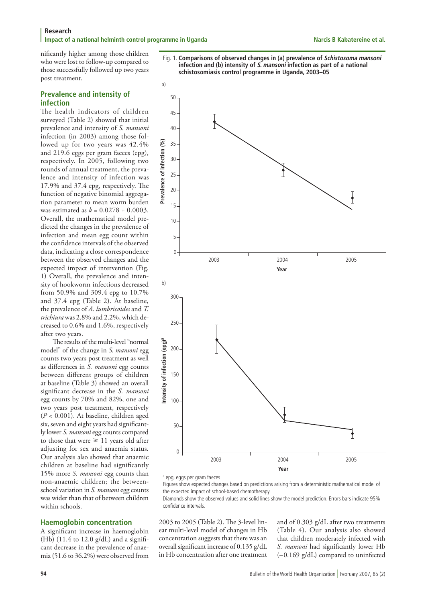**Research Impact of a national helminth control programme in Uganda National State Accepts Accept Accepts Narcis B Kabatereine et al. Impact of a national helminth control programme in Uganda** 

nificantly higher among those children who were lost to follow-up compared to those successfully followed up two years post treatment.

# **Prevalence and intensity of infection**

The health indicators of children surveyed (Table 2) showed that initial prevalence and intensity of *S. mansoni* infection (in 2003) among those followed up for two years was 42.4% and 219.6 eggs per gram faeces (epg), respectively. In 2005, following two rounds of annual treatment, the prevalence and intensity of infection was 17.9% and 37.4 epg, respectively. The function of negative binomial aggregation parameter to mean worm burden was estimated as *k* = 0.0278 + 0.0003. Overall, the mathematical model predicted the changes in the prevalence of infection and mean egg count within the confidence intervals of the observed data, indicating a close correspondence between the observed changes and the expected impact of intervention (Fig. 1) Overall, the prevalence and intensity of hookworm infections decreased from 50.9% and 309.4 epg to 10.7% and 37.4 epg (Table 2). At baseline, the prevalence of *A. lumbricoides* and *T. trichiura* was 2.8% and 2.2%, which decreased to 0.6% and 1.6%, respectively after two years.

The results of the multi-level "normal model" of the change in *S. mansoni* egg counts two years post treatment as well as differences in *S. mansoni* egg counts between different groups of children at baseline (Table 3) showed an overall significant decrease in the *S. mansoni* egg counts by 70% and 82%, one and two years post treatment, respectively (*P* < 0.001). At baseline, children aged six, seven and eight years had significantly lower *S. mansoni* egg counts compared to those that were  $\geq 11$  years old after adjusting for sex and anaemia status. Our analysis also showed that anaemic children at baseline had significantly 15% more *S. mansoni* egg counts than non-anaemic children; the betweenschool variation in *S. mansoni* egg counts was wider than that of between children within schools.

### **Haemoglobin concentration**

A significant increase in haemoglobin (Hb)  $(11.4 \text{ to } 12.0 \text{ g/dL})$  and a significant decrease in the prevalence of anaemia (51.6 to 36.2%) were observed from



Fig. 1. **Comparisons of observed changes in (a) prevalence of Schistosoma mansoni**

a epg, eggs per gram faeces

Figures show expected changes based on predictions arising from a deterministic mathematical model of the expected impact of school-based chemotherapy.

Diamonds show the observed values and solid lines show the model prediction. Errors bars indicate 95% confidence intervals.

2003 to 2005 (Table 2). The 3-level linear multi-level model of changes in Hb concentration suggests that there was an overall significant increase of 0.135 g/dL in Hb concentration after one treatment and of 0.303 g/dL after two treatments (Table 4). Our analysis also showed that children moderately infected with *S. mansoni* had significantly lower Hb (–0.169 g/dL) compared to uninfected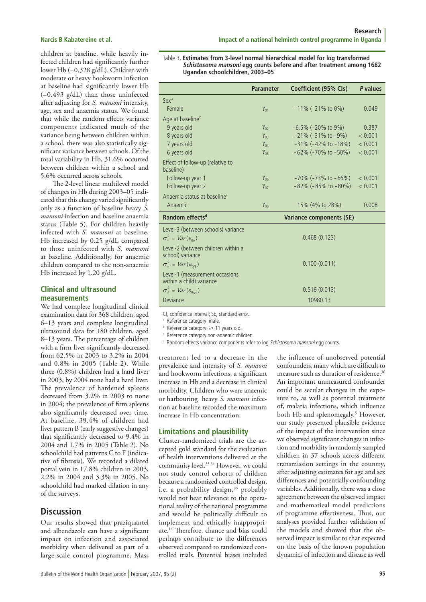children at baseline, while heavily infected children had significantly further lower Hb (–0.328 g/dL). Children with moderate or heavy hookworm infection at baseline had significantly lower Hb (–0.493 g/dL) than those uninfected after adjusting for *S. mansoni* intensity, age, sex and anaemia status. We found that while the random effects variance components indicated much of the variance being between children within a school, there was also statistically significant variance between schools. Of the total variability in Hb, 31.6% occurred between children within a school and 5.6% occurred across schools.

The 2-level linear multilevel model of changes in Hb during 2003–05 indicated that this change varied significantly only as a function of baseline heavy *S. mansoni* infection and baseline anaemia status (Table 5). For children heavily infected with *S. mansoni* at baseline, Hb increased by 0.25 g/dL compared to those uninfected with *S. mansoni* at baseline. Additionally, for anaemic children compared to the non-anaemic Hb increased by 1.20 g/dL.

# **Clinical and ultrasound measurements**

We had complete longitudinal clinical examination data for 368 children, aged 6–13 years and complete longitudinal ultrasound data for 180 children, aged 8–13 years. The percentage of children with a firm liver significantly decreased from 62.5% in 2003 to 3.2% in 2004 and 0.8% in 2005 (Table 2). While three (0.8%) children had a hard liver in 2003, by 2004 none had a hard liver. The prevalence of hardened spleens decreased from 3.2% in 2003 to none in 2004; the prevalence of firm spleens also significantly decreased over time. At baseline, 39.4% of children had liver pattern B (early suggestive changes) that significantly decreased to 9.4% in 2004 and 1.7% in 2005 (Table 2). No schoolchild had patterns C to F (indicative of fibrosis). We recorded a dilated portal vein in 17.8% children in 2003, 2.2% in 2004 and 3.3% in 2005. No schoolchild had marked dilation in any of the surveys.

# **Discussion**

Our results showed that praziquantel and albendazole can have a significant impact on infection and associated morbidity when delivered as part of a large-scale control programme. Mass

#### Table 3. **Estimates from 3-level normal hierarchical model for log transformed Schistosoma mansoni egg counts before and after treatment among 1682 Ugandan schoolchildren, 2003–05**

|                                                                  | <b>Parameter</b> | Coefficient (95% Cls)          | P values |
|------------------------------------------------------------------|------------------|--------------------------------|----------|
| Sex <sup>a</sup>                                                 |                  |                                |          |
| Female                                                           | $\gamma_{01}$    | $-11\%$ ( $-21\%$ to 0%)       | 0.049    |
| Age at baseline <sup>b</sup>                                     |                  |                                |          |
| 9 years old                                                      | $\gamma_{02}$    | $-6.5\%$ (-20% to 9%)          | 0.387    |
| 8 years old                                                      | $\gamma_{03}$    | $-21\%$ (-31% to -9%)          | < 0.001  |
| 7 years old                                                      | $\gamma_{04}$    | $-31\%$ (-42% to -18%)         | < 0.001  |
| 6 years old                                                      | $\gamma_{05}$    | $-62\%$ (-70% to -50%)         | < 0.001  |
| Effect of follow-up (relative to<br>baseline)                    |                  |                                |          |
| Follow-up year 1                                                 | $\gamma_{06}$    | $-70\%$ ( $-73\%$ to $-66\%$ ) | < 0.001  |
| Follow-up year 2                                                 | $\gamma_{07}$    | $-82\%$ ( $-85\%$ to $-80\%$ ) | < 0.001  |
| Anaemia status at baseline <sup>c</sup>                          |                  |                                |          |
| Anaemic                                                          | $\gamma_{08}$    | 15% (4% to 28%)                | 0.008    |
| Random effects <sup>d</sup>                                      |                  | Variance components (SE)       |          |
| Level-3 (between schools) variance<br>$\sigma_v^2 = Var(v_{0k})$ |                  | 0.468(0.123)                   |          |
| Level-2 (between children within a<br>school) variance           |                  |                                |          |
| $\sigma_u^2 = Var(u_{0jk})$                                      |                  | 0.100(0.011)                   |          |
| Level-1 (measurement occasions<br>within a child) variance       |                  |                                |          |
| $\sigma_{\varepsilon}^2 = Var(\varepsilon_{0ijk})$               |                  | 0.516(0.013)                   |          |
| Deviance                                                         |                  | 10980.13                       |          |

CI, confidence interval; SE, standard error.

<sup>a</sup> Reference category: male.

 $b$  Reference category:  $\geq 11$  years old.

<sup>c</sup> Reference category non-anaemic children.

<sup>d</sup> Random effects variance components refer to log Schistosoma mansoni egg counts.

treatment led to a decrease in the prevalence and intensity of *S. mansoni* and hookworm infections, a significant increase in Hb and a decrease in clinical morbidity. Children who were anaemic or harbouring heavy *S. mansoni* infection at baseline recorded the maximum increase in Hb concentration.

# **Limitations and plausibility**

Cluster-randomized trials are the accepted gold standard for the evaluation of health interventions delivered at the community level.<sup>33,34</sup> However, we could not study control cohorts of children because a randomized controlled design, i.e. a probability design,<sup>35</sup> probably would not bear relevance to the operational reality of the national programme and would be politically difficult to implement and ethically inappropriate.14 Therefore, chance and bias could perhaps contribute to the differences observed compared to randomized controlled trials. Potential biases included

the influence of unobserved potential confounders, many which are difficult to measure such as duration of residence.36 An important unmeasured confounder could be secular changes in the exposure to, as well as potential treatment of, malaria infections, which influence both Hb and splenomegaly.<sup>5</sup> However, our study presented plausible evidence of the impact of the intervention since we observed significant changes in infection and morbidity in randomly sampled children in 37 schools across different transmission settings in the country, after adjusting estimates for age and sex differences and potentially confounding variables. Additionally, there was a close agreement between the observed impact and mathematical model predictions of programme effectiveness. Thus, our analyses provided further validation of the models and showed that the observed impact is similar to that expected on the basis of the known population dynamics of infection and disease as well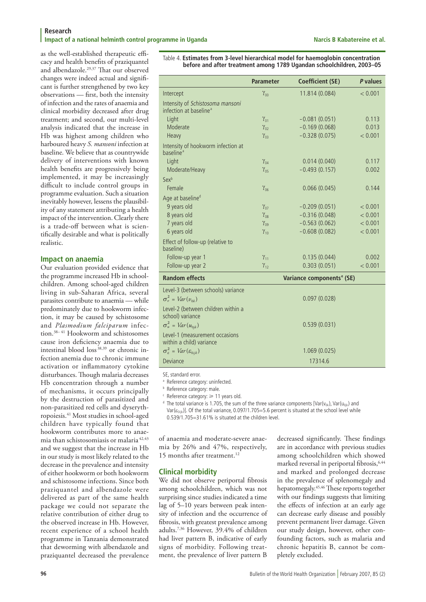as the well-established therapeutic efficacy and health benefits of praziquantel and albendazole.29,37 That our observed changes were indeed actual and significant is further strengthened by two key observations — first, both the intensity of infection and the rates of anaemia and clinical morbidity decreased after drug treatment; and second, our multi-level analysis indicated that the increase in Hb was highest among children who harboured heavy *S. mansoni* infection at baseline. We believe that as countrywide delivery of interventions with known health benefits are progressively being implemented, it may be increasingly difficult to include control groups in programme evaluation. Such a situation inevitably however, lessens the plausibility of any statement attributing a health impact of the intervention. Clearly there is a trade-off between what is scientifically desirable and what is politically realistic.

# **Impact on anaemia**

Our evaluation provided evidence that the programme increased Hb in schoolchildren. Among school-aged children living in sub-Saharan Africa, several parasites contribute to anaemia — while predominately due to hookworm infection, it may be caused by schistosome and *Plasmodium falciparum* infection.38– 41 Hookworm and schistosomes cause iron deficiency anaemia due to intestinal blood loss 38,39 or chronic infection anemia due to chronic immune activation or inflammatory cytokine disturbances. Though malaria decreases Hb concentration through a number of mechanisms, it occurs principally by the destruction of parasitized and non-parasitized red cells and dyserythropoiesis.41 Most studies in school-aged children have typically found that hookworm contributes more to anaemia than schistosomiasis or malaria 42,43 and we suggest that the increase in Hb in our study is most likely related to the decrease in the prevalence and intensity of either hookworm or both hookworm and schistosome infections. Since both praziquantel and albendazole were delivered as part of the same health package we could not separate the relative contribution of either drug to the observed increase in Hb. However, recent experience of a school health programme in Tanzania demonstrated that deworming with albendazole and praziquantel decreased the prevalence

Table 4. **Estimates from 3-level hierarchical model for haemoglobin concentration before and after treatment among 1789 Ugandan schoolchildren, 2003–05**

|                                                                    | <b>Parameter</b>        | <b>Coefficient (SE)</b>               | P values |
|--------------------------------------------------------------------|-------------------------|---------------------------------------|----------|
| Intercept                                                          | $\gamma_{00}$           | 11.814 (0.084)                        | < 0.001  |
| Intensity of Schistosoma mansoni                                   |                         |                                       |          |
| infection at baseline <sup>a</sup>                                 |                         |                                       |          |
| Light                                                              | $\gamma_{01}$           | $-0.081(0.051)$                       | 0.113    |
| Moderate                                                           | $\gamma_{02}$           | $-0.169(0.068)$                       | 0.013    |
| Heavy                                                              | $\gamma_{02}$           | $-0.328(0.075)$                       | < 0.001  |
| Intensity of hookworm infection at<br><b>haseline</b> <sup>a</sup> |                         |                                       |          |
| Light                                                              | $\gamma_{04}$           | 0.014(0.040)                          | 0.117    |
| Moderate/Heavy                                                     | $\gamma_{05}$           | $-0.493(0.157)$                       | 0.002    |
| Sexb                                                               |                         |                                       |          |
| Female                                                             | $\gamma_{06}$           | 0.066(0.045)                          | 0.144    |
| Age at baseline <sup>d</sup>                                       |                         |                                       |          |
| 9 years old                                                        | $\gamma_{07}$           | $-0.209(0.051)$                       | < 0.001  |
| 8 years old                                                        | $\gamma_{08}$           | $-0.316(0.048)$                       | < 0.001  |
| 7 years old                                                        | $\gamma_{\alpha\alpha}$ | $-0.563(0.062)$                       | < 0.001  |
| 6 years old                                                        | $\gamma_{10}$           | $-0.608(0.082)$                       | < 0.001  |
| Effect of follow-up (relative to<br>baseline)                      |                         |                                       |          |
| Follow-up year 1                                                   | $\gamma_{11}$           | 0.135(0.044)                          | 0.002    |
| Follow-up year 2                                                   | $\gamma_{12}$           | 0.303(0.051)                          | < 0.001  |
| <b>Random effects</b>                                              |                         | Variance components <sup>e</sup> (SE) |          |
| Level-3 (between schools) variance                                 |                         |                                       |          |
| $\sigma_v^2 = Var(v_{0k})$                                         |                         | 0.097(0.028)                          |          |
| Level-2 (between children within a<br>school) variance             |                         |                                       |          |
| $\sigma_u^2 = Var(u_{0ik})$                                        |                         | 0.539(0.031)                          |          |
| Level-1 (measurement occasions                                     |                         |                                       |          |
| within a child) variance                                           |                         | 1.069(0.025)                          |          |
| $\sigma_{\varepsilon}^2 = Var(\varepsilon_{0ijk})$                 |                         |                                       |          |
| Deviance                                                           |                         | 17314.6                               |          |

SE, standard error.

<sup>a</sup> Reference category: uninfected.

**b** Reference category: male.

<sup>c</sup> Reference category:  $\geq 11$  years old.<br><sup>d</sup> The total variance is 1.705, the sum of the three variance components [Var(v<sub>0k</sub>), Var(u<sub>0ik</sub>) and Var( $\epsilon_{0ijk}$ ). Of the total variance, 0.097/1.705=5.6 percent is situated at the school level while 0.539/1.705=31.61% is situated at the children level.

of anaemia and moderate-severe anaemia by 26% and 47%, respectively, 15 months after treatment.<sup>12</sup>

# **Clinical morbidity**

We did not observe periportal fibrosis among schoolchildren, which was not surprising since studies indicated a time lag of 5–10 years between peak intensity of infection and the occurrence of fibrosis, with greatest prevalence among adults.7,36 However, 39.4% of children had liver pattern B, indicative of early signs of morbidity. Following treatment, the prevalence of liver pattern B

decreased significantly. These findings are in accordance with previous studies among schoolchildren which showed marked reversal in periportal fibrosis,<sup>6,44</sup> and marked and prolonged decrease in the prevalence of splenomegaly and hepatomegaly.45,46 These reports together with our findings suggests that limiting the effects of infection at an early age can decrease early disease and possibly prevent permanent liver damage. Given our study design, however, other confounding factors, such as malaria and chronic hepatitis B, cannot be completely excluded.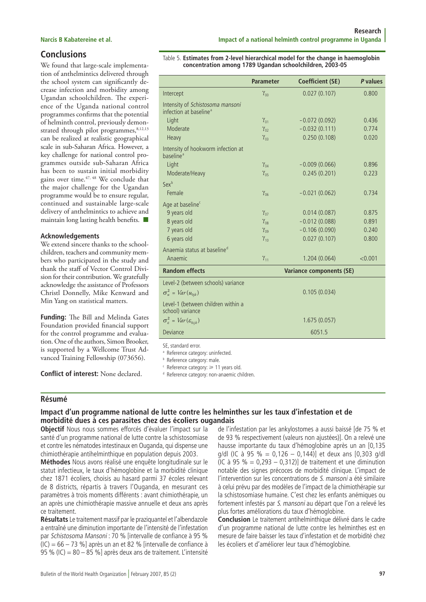# **Conclusions**

We found that large-scale implementation of anthelmintics delivered through the school system can significantly decrease infection and morbidity among Ugandan schoolchildren. The experience of the Uganda national control programmes confirms that the potential of helminth control, previously demonstrated through pilot programmes, 8,12,13 can be realized at realistic geographical scale in sub-Saharan Africa. However, a key challenge for national control programmes outside sub-Saharan Africa has been to sustain initial morbidity gains over time.47, 48 We conclude that the major challenge for the Ugandan programme would be to ensure regular, continued and sustainable large-scale delivery of anthelmintics to achieve and maintain long lasting health benefits.  $\blacksquare$ 

### **Acknowledgements**

We extend sincere thanks to the schoolchildren, teachers and community members who participated in the study and thank the staff of Vector Control Division for their contribution. We gratefully acknowledge the assistance of Professors Christl Donnelly, Mike Kenward and Min Yang on statistical matters.

**Funding:** The Bill and Melinda Gates Foundation provided financial support for the control programme and evaluation. One of the authors, Simon Brooker, is supported by a Wellcome Trust Advanced Training Fellowship (073656).

**Conflict of interest:** None declared.

#### Table 5. **Estimates from 2-level hierarchical model for the change in haemoglobin concentration among 1789 Ugandan schoolchildren, 2003-05**

|                                                                                                                                                                                                                             | <b>Parameter</b> | <b>Coefficient (SE)</b>  | P values |
|-----------------------------------------------------------------------------------------------------------------------------------------------------------------------------------------------------------------------------|------------------|--------------------------|----------|
| Intercept                                                                                                                                                                                                                   | $\gamma_{00}$    | 0.027(0.107)             | 0.800    |
| Intensity of Schistosoma mansoni<br>infection at baseline <sup>a</sup>                                                                                                                                                      |                  |                          |          |
| Light                                                                                                                                                                                                                       | $\gamma_{01}$    | $-0.072(0.092)$          | 0.436    |
| Moderate                                                                                                                                                                                                                    | $\gamma_{02}$    | $-0.032(0.111)$          | 0.774    |
| Heavy                                                                                                                                                                                                                       | $\gamma_{03}$    | 0.250(0.108)             | 0.020    |
| Intensity of hookworm infection at<br>baseline <sup>a</sup>                                                                                                                                                                 |                  |                          |          |
| Light                                                                                                                                                                                                                       | $\gamma_{04}$    | $-0.009(0.066)$          | 0.896    |
| Moderate/Heavy                                                                                                                                                                                                              | $\gamma_{05}$    | 0.245(0.201)             | 0.223    |
| Sexb                                                                                                                                                                                                                        |                  |                          |          |
| Female                                                                                                                                                                                                                      | $\gamma_{06}$    | $-0.021(0.062)$          | 0.734    |
| Age at baseline <sup>c</sup>                                                                                                                                                                                                |                  |                          |          |
| 9 years old                                                                                                                                                                                                                 | $\gamma_{07}$    | 0.014(0.087)             | 0.875    |
| 8 years old                                                                                                                                                                                                                 | $\gamma_{08}$    | $-0.012(0.088)$          | 0.891    |
| 7 years old                                                                                                                                                                                                                 | $\gamma_{09}$    | $-0.106(0.090)$          | 0.240    |
| 6 years old                                                                                                                                                                                                                 | $\gamma_{10}$    | 0.027(0.107)             | 0.800    |
| Anaemia status at baseline <sup>d</sup>                                                                                                                                                                                     |                  |                          |          |
| Anaemic                                                                                                                                                                                                                     | $\gamma_{11}$    | 1.204(0.064)             | < 0.001  |
| <b>Random effects</b>                                                                                                                                                                                                       |                  | Variance components (SE) |          |
| Level-2 (between schools) variance                                                                                                                                                                                          |                  |                          |          |
| $\sigma_u^2 = Var(u_{0ik})$                                                                                                                                                                                                 |                  | 0.105(0.034)             |          |
| Level-1 (between children within a<br>school) variance                                                                                                                                                                      |                  |                          |          |
| $\sigma_{\varepsilon}^2 = Var(\varepsilon_{0ijk})$                                                                                                                                                                          |                  | 1.675(0.057)             |          |
| Deviance                                                                                                                                                                                                                    |                  | 6051.5                   |          |
| SE, standard error.<br><sup>a</sup> Reference category: uninfected.<br><sup>b</sup> Reference category: male.<br><sup>c</sup> Reference category: ≥ 11 years old.<br><sup>d</sup> Reference category: non-anaemic children. |                  |                          |          |

# **Résumé**

# **Impact d'un programme national de lutte contre les helminthes sur les taux d'infestation et de morbidité dues à ces parasites chez des écoliers ougandais**

**Objectif** Nous nous sommes efforcés d'évaluer l'impact sur la santé d'un programme national de lutte contre la schistosomiase et contre les nématodes intestinaux en Ouganda, qui dispense une chimiothérapie antihelminthique en population depuis 2003.

**Méthodes** Nous avons réalisé une enquête longitudinale sur le statut infectieux, le taux d'hémoglobine et la morbidité clinique chez 1871 écoliers, choisis au hasard parmi 37 écoles relevant de 8 districts, répartis à travers l'Ouganda, en mesurant ces paramètres à trois moments différents : avant chimiothérapie, un an après une chimiothérapie massive annuelle et deux ans après ce traitement.

**Résultats** Le traitement massif par le praziquantel et l'albendazole a entraîné une diminution importante de l'intensité de l'infestation par Schistosoma Mansoni : 70 % [intervalle de confiance à 95 %  $(IC) = 66 - 73$  % après un an et 82 % [intervalle de confiance à 95 % (IC) =  $80 - 85$  %] après deux ans de traitement. L'intensité de l'infestation par les ankylostomes a aussi baissé [de 75 % et de 93 % respectivement (valeurs non ajustées)]. On a relevé une hausse importante du taux d'hémoglobine après un an [0,135 g/dl (IC à 95 % = 0,126 - 0,144)] et deux ans  $[0,303 \text{ g/d}]$ (IC à 95 % =  $0,293 - 0,312$ ) de traitement et une diminution notable des signes précoces de morbidité clinique. L'impact de l'intervention sur les concentrations de S. mansoni a été similaire à celui prévu par des modèles de l'impact de la chimiothérapie sur la schistosomiase humaine. C'est chez les enfants anémiques ou fortement infestés par S. mansoni au départ que l'on a relevé les plus fortes améliorations du taux d'hémoglobine.

**Conclusion** Le traitement antihelminthique délivré dans le cadre d'un programme national de lutte contre les helminthes est en mesure de faire baisser les taux d'infestation et de morbidité chez les écoliers et d'améliorer leur taux d'hémoglobine.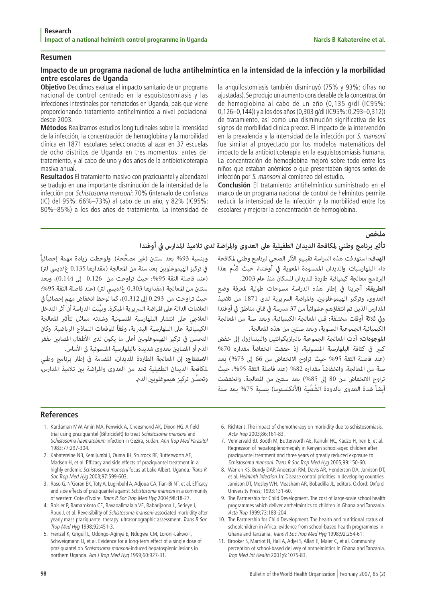### **Resumen**

# **Impacto de un programa nacional de lucha antihelmíntica en la intensidad de la infección y la morbilidad entre escolares de Uganda**

**Objetivo** Decidimos evaluar el impacto sanitario de un programa nacional de control centrado en la esquistosomiasis y las infecciones intestinales por nematodos en Uganda, país que viene proporcionando tratamiento antihelmíntico a nivel poblacional desde 2003.

**Métodos** Realizamos estudios longitudinales sobre la intensidad de la infección, la concentración de hemoglobina y la morbilidad clínica en 1871 escolares seleccionados al azar en 37 escuelas de ocho distritos de Uganda en tres momentos: antes del tratamiento, y al cabo de uno y dos años de la antibioticoterapia masiva anual.

**Resultados** El tratamiento masivo con prazicuantel y albendazol se tradujo en una importante disminución de la intensidad de la infección por Schistosoma mansoni: 70% (intervalo de confianza (IC) del 95%: 66%–73%) al cabo de un año, y 82% (IC95%: 80%–85%) a los dos años de tratamiento. La intensidad de la anquilostomiasis también disminuyó (75% y 93%; cifras no ajustadas). Se produjo un aumento considerable de la concentración de hemoglobina al cabo de un año (0,135 g/dl (IC95%: 0,126–0,144)) y a los dos años (0,303 g/dl (IC95%: 0,293–0,312)) de tratamiento, así como una disminución significativa de los signos de morbilidad clínica precoz. El impacto de la intervención en la prevalencia y la intensidad de la infección por S. mansoni fue similar al proyectado por los modelos matemáticos del impacto de la antibioticoterapia en la esquistosomiasis humana. La concentración de hemoglobina mejoró sobre todo entre los niños que estaban anémicos o que presentaban signos serios de infección por S. mansoni al comienzo del estudio.

**Conclusión** El tratamiento antihelmíntico suministrado en el marco de un programa nacional de control de helmintos permite reducir la intensidad de la infección y la morbilidad entre los escolares y mejorar la concentración de hemoglobina.

وبنسبة 93% بعد سنتين (غير مصحّحة). ولوحظت زيادة مهمة إحصائياً<br>في تركيز الهيموغلوبين بعد سنة من المعالجة (مقدارها 0.135 غ/ديسي لتر)<br>(عند فاصلة الثقة 95%: حيث تراوحت من 0.126 إلى 0.144)، وبعد<br>سنتين من المعالجة (مقدارها 0.30

**ملخص**<br>تأثير **برنامج وطني لمكافحة الديدان الطفيلية على العدوى والمراضة لدى تلاميذ المدارس في أوغندا<br>الهدف: استهدفت هذه الدراسة تقييم الأثر الصحي لبرنامج وطني لمكافحة وبنسبة 93% بعد سنتين (غير الجدار و ال<br>البرنامج مع** 

كبير في كثافة البلهارسية المنسونية، إذ حققت انخفاضاً مقداره 70%<br>(عند فاصلة الثقة 95% حيث تراوح الانخفاض من 66 إلى 73%) بعد<br>سنة من المعالجة، وانخفاضاً مقداره 82% (عند فاصلة الثقة 95%، حيث<br>تراوح الانخفاض من 80 إلى 85%) بعد

# **References**

- 1. Kardaman MW, Amin MA, Fenwick A, Cheesmond AK, Dixon HG. A field trial using praziquantel (BiltricideR) to treat Schistosoma mansoni and Schistosoma haematobium infection in Gezira, Sudan. Ann Trop Med Parasitol 1983;77:297-304.
- 2. Kabatereine NB, Kemijumbi J, Ouma JH, Sturrock RF, Butterworth AE, Madsen H, et al. Efficacy and side effects of praziquantel treatment in a highly endemic Schistosoma mansoni focus at Lake Albert, Uganda. Trans R Soc Trop Med Hyg 2003;97:599-603.
- 3. Raso G, N'Goran EK, Toty A, Luginbuhl A, Adjoua CA, Tian-Bi NT, et al. Efficacy and side effects of praziquantel against Schistosoma mansoni in a community of western Cote d'Ivoire. Trans R Soc Trop Med Hyg 2004;98:18-27.
- 4. Boisier P, Ramarokoto CE, Ravaoalimalala VE, Rabarijaona L, Serieye J, Roux J, et al. Reversibility of Schistosoma mansoni-associated morbidity after yearly mass praziquantel therapy: ultrasonographic assessment. Trans R Soc Trop Med Hyg 1998;92:451-3.
- 5. Frenzel K, Grigull L, Odongo-Aginya E, Ndugwa CM, Loroni-Lakwo T, Schweigmann U, et al. Evidence for a long-term effect of a single dose of praziquantel on Schistosoma mansoni-induced hepatosplenic lesions in northern Uganda. Am J Trop Med Hyg 1999;60:927-31.
- 6. Richter J. The impact of chemotherapy on morbidity due to schistosomiasis. Acta Trop 2003;86:161-83.
- 7. Vennervald BJ, Booth M, Butterworth AE, Kariuki HC, Kadzo H, Ireri E, et al. Regression of hepatosplenomegaly in Kenyan school-aged children after praziquantel treatment and three years of greatly reduced exposure to Schistosoma mansoni. Trans R Soc Trop Med Hyg 2005;99:150-60.
- 8. Warren KS, Bundy DAP, Anderson RM, Davis AR, Henderson DA, Jamison DT, et al. Helminth infection. In: Disease control priorities in developing countries. Jamison DT, Mosley WH, Measham AR, Bobadilla JL, editors. Oxford: Oxford University Press; 1993:131-60.
- 9. The Partnership for Child Development. The cost of large-scale school health programmes which deliver anthelmintics to children in Ghana and Tanzania. Acta Trop 1999;73:183-204.
- 10. The Partnership for Child Development. The health and nutritional status of schoolchildren in Africa: evidence from school-based health programmes in Ghana and Tanzania. Trans R Soc Trop Med Hyg 1998;92:254-61.
- 11. Brooker S, Marriot H, Hall A, Adjei S, Allan E, Maier C, et al. Community perception of school-based delivery of anthelmintics in Ghana and Tanzania. Trop Med Int Health 2001;6:1075-83.